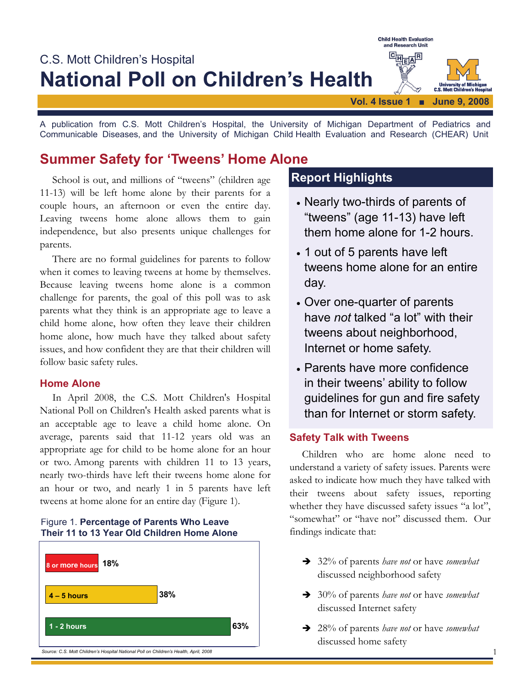

A publication from C.S. Mott Children's Hospital, the University of Michigan Department of Pediatrics and Communicable Diseases, and the University of Michigan Child Health Evaluation and Research (CHEAR) Unit

# **Summer Safety for 'Tweens' Home Alone**

School is out, and millions of "tweens" (children age 11-13) will be left home alone by their parents for a couple hours, an afternoon or even the entire day. Leaving tweens home alone allows them to gain independence, but also presents unique challenges for parents.

 There are no formal guidelines for parents to follow when it comes to leaving tweens at home by themselves. Because leaving tweens home alone is a common challenge for parents, the goal of this poll was to ask parents what they think is an appropriate age to leave a child home alone, how often they leave their children home alone, how much have they talked about safety issues, and how confident they are that their children will follow basic safety rules.

## **Home Alone**

 In April 2008, the C.S. Mott Children's Hospital National Poll on Children's Health asked parents what is an acceptable age to leave a child home alone. On average, parents said that 11-12 years old was an appropriate age for child to be home alone for an hour or two. Among parents with children 11 to 13 years, nearly two-thirds have left their tweens home alone for an hour or two, and nearly 1 in 5 parents have left tweens at home alone for an entire day (Figure 1).

## Figure 1. **Percentage of Parents Who Leave Their 11 to 13 Year Old Children Home Alone**



# **Report Highlights**

- Nearly two-thirds of parents of "tweens" (age 11-13) have left them home alone for 1-2 hours.
- 1 out of 5 parents have left tweens home alone for an entire day.
- Over one-quarter of parents have *not* talked "a lot" with their tweens about neighborhood, Internet or home safety.
- Parents have more confidence in their tweens' ability to follow guidelines for gun and fire safety than for Internet or storm safety.

## **Safety Talk with Tweens**

Children who are home alone need to understand a variety of safety issues. Parents were asked to indicate how much they have talked with their tweens about safety issues, reporting whether they have discussed safety issues "a lot", "somewhat" or "have not" discussed them. Our findings indicate that:

- Î 32% of parents *have not* or have *somewhat*  discussed neighborhood safety
- Î 30% of parents *have not* or have *somewhat* discussed Internet safety
- Î 28% of parents *have not* or have *somewhat*  discussed home safety